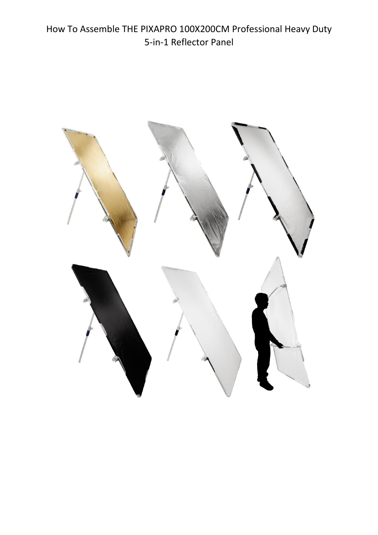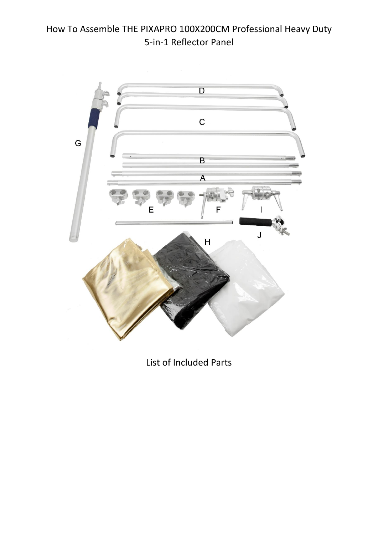

List of Included Parts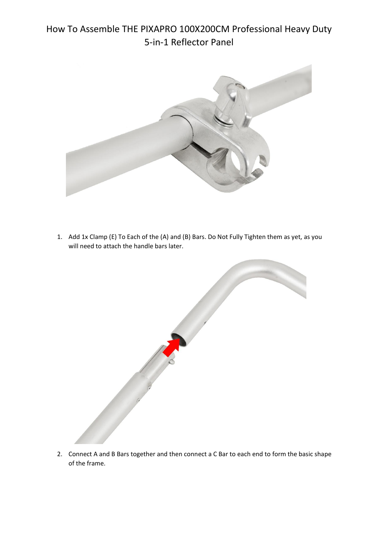

1. Add 1x Clamp (E) To Each of the (A) and (B) Bars. Do Not Fully Tighten them as yet, as you will need to attach the handle bars later.



2. Connect A and B Bars together and then connect a C Bar to each end to form the basic shape of the frame.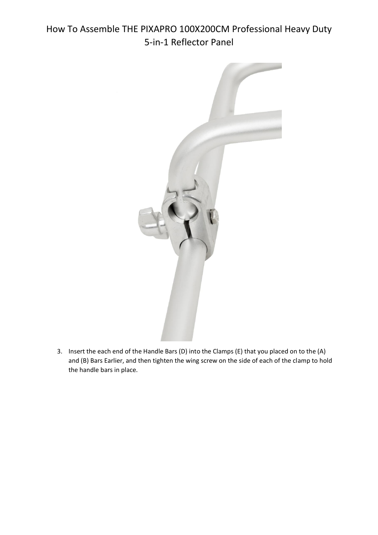

3. Insert the each end of the Handle Bars (D) into the Clamps (E) that you placed on to the (A) and (B) Bars Earlier, and then tighten the wing screw on the side of each of the clamp to hold the handle bars in place.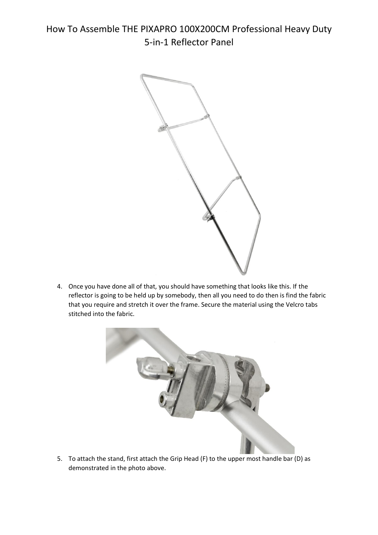

4. Once you have done all of that, you should have something that looks like this. If the reflector is going to be held up by somebody, then all you need to do then is find the fabric that you require and stretch it over the frame. Secure the material using the Velcro tabs stitched into the fabric.



5. To attach the stand, first attach the Grip Head (F) to the upper most handle bar (D) as demonstrated in the photo above.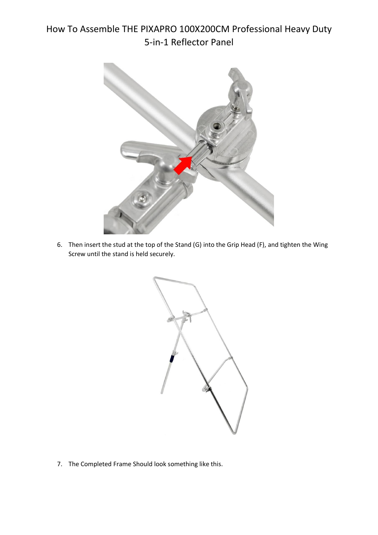

6. Then insert the stud at the top of the Stand (G) into the Grip Head (F), and tighten the Wing Screw until the stand is held securely.



7. The Completed Frame Should look something like this.